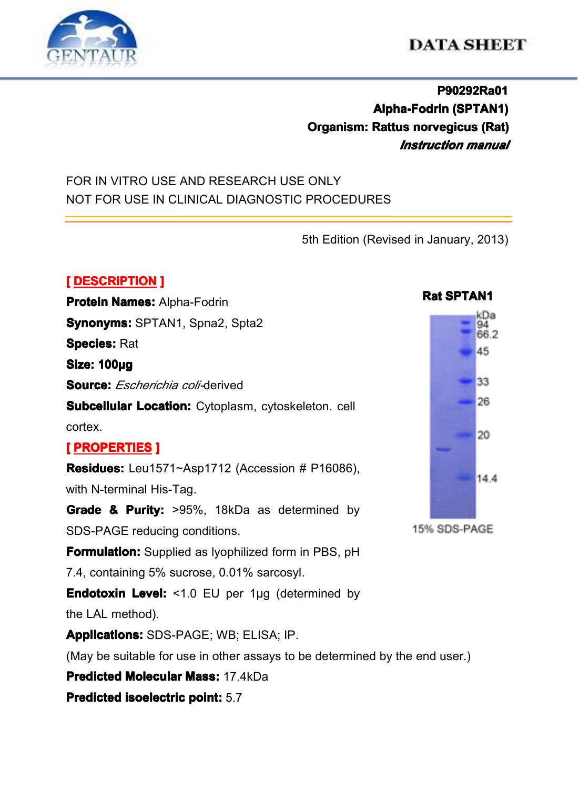

# **DATA SHEET**

## **P90292Ra01 Alpha-Fodrin Alpha-Fodrin(SPTAN1) (SPTAN1) Organism: Rattus norvegicus (Rat)** *Instruction manual*

## FOR IN VITRO USE AND RESEARCH USE ONLY NOT FOR USE IN CLINICAL DIAGNOSTIC PROCEDURES

5th Edition (Revised in January, 2013)

#### **[ DESCRIPTION DESCRIPTION]**

**Protein Names: Alpha-Fodrin Synonyms: Synonyms:** SPTAN1, Spna2, Spta2 **Species:** Rat **Size: 100µg Source: Source: Source:***Escherichia coli-*derived **Subcellular Location:** Cytoplasm, cytoskeleton. cell cortex. **[ PROPERTIES PROPERTIESPROPERTIES] Residues:** Leu1571~Asp1712 (Accession # P16086), with N-terminal His-Tag. **Grade & Purity:**  $>95\%$ . 18kDa as determined by SDS-PAGE reducing conditions.



**Formulation:** Supplied as Ivophilized form in PBS, pH 7.4, containing 5% sucrose, 0.01% sarcosyl.

**Endotoxin Level:** <1.0 EU per 1μg (determined by

the LAL method).

**Applications: Applications:**SDS-PAGE; WB; ELISA; IP.

(May be suitable for use in other assays to be determined by the end user.)

**Predicted Molecular Mass: 17.4kDa** 

**Predicted isoelectric [isoelectric](app:ds:  isoelectric point) point:** 5.7